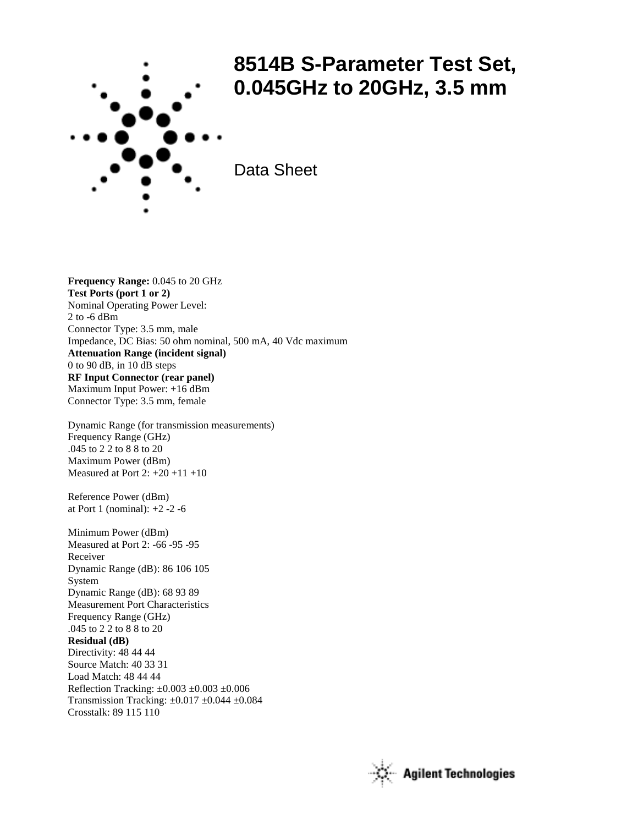

## **8514B S-Parameter Test Set, 0.045GHz to 20GHz, 3.5 mm**

Data Sheet

**Frequency Range:** 0.045 to 20 GHz **Test Ports (port 1 or 2)** Nominal Operating Power Level: 2 to -6 dBm Connector Type: 3.5 mm, male Impedance, DC Bias: 50 ohm nominal, 500 mA, 40 Vdc maximum **Attenuation Range (incident signal)** 0 to 90 dB, in 10 dB steps **RF Input Connector (rear panel)** Maximum Input Power: +16 dBm Connector Type: 3.5 mm, female

Dynamic Range (for transmission measurements) Frequency Range (GHz) .045 to 2 2 to 8 8 to 20 Maximum Power (dBm) Measured at Port  $2: +20 +11 +10$ 

Reference Power (dBm) at Port 1 (nominal): +2 -2 -6

Minimum Power (dBm) Measured at Port 2: -66 -95 -95 Receiver Dynamic Range (dB): 86 106 105 System Dynamic Range (dB): 68 93 89 Measurement Port Characteristics Frequency Range (GHz) .045 to 2 2 to 8 8 to 20 **Residual (dB)** Directivity: 48 44 44 Source Match: 40 33 31 Load Match: 48 44 44 Reflection Tracking: ±0.003 ±0.003 ±0.006 Transmission Tracking: ±0.017 ±0.044 ±0.084 Crosstalk: 89 115 110